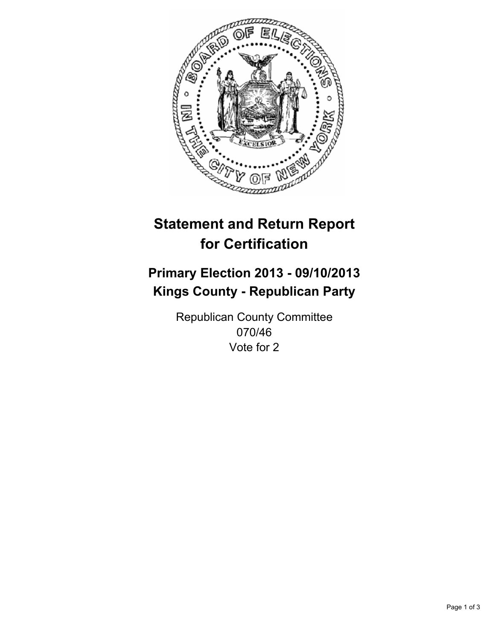

# **Statement and Return Report for Certification**

# **Primary Election 2013 - 09/10/2013 Kings County - Republican Party**

Republican County Committee 070/46 Vote for 2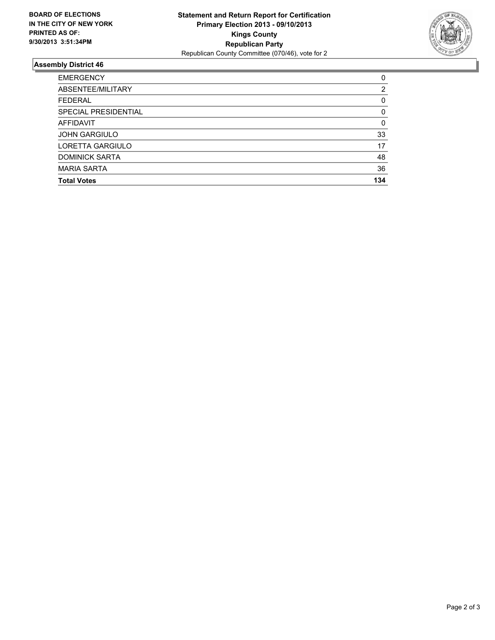

## **Assembly District 46**

| <b>EMERGENCY</b>      | 0        |
|-----------------------|----------|
| ABSENTEE/MILITARY     | 2        |
| <b>FEDERAL</b>        | 0        |
| SPECIAL PRESIDENTIAL  | $\Omega$ |
| <b>AFFIDAVIT</b>      | 0        |
| <b>JOHN GARGIULO</b>  | 33       |
| LORETTA GARGIULO      | 17       |
| <b>DOMINICK SARTA</b> | 48       |
| <b>MARIA SARTA</b>    | 36       |
| <b>Total Votes</b>    | 134      |